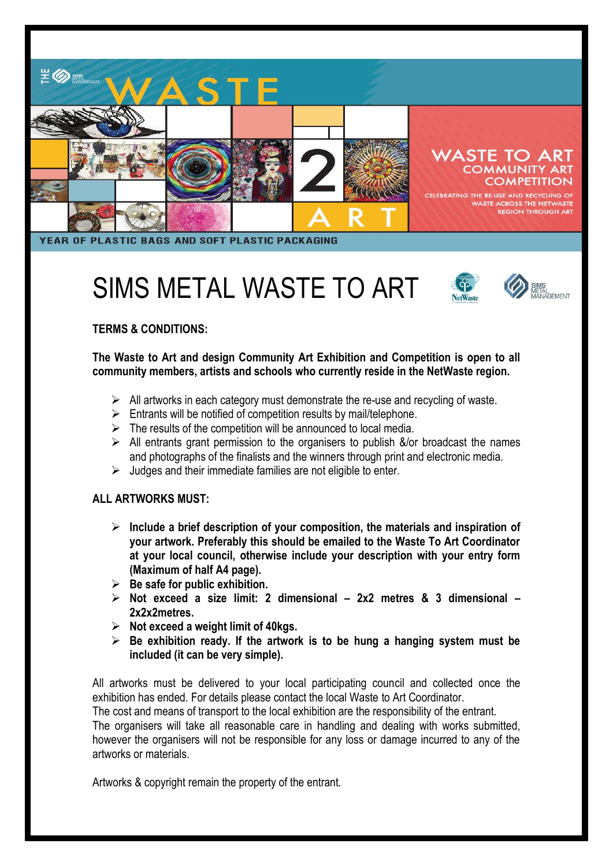

# SIMS METAL WASTE TO ART



## **TERMS & CONDITIONS:**

**The Waste to Art and design Community Art Exhibition and Competition is open to all community members, artists and schools who currently reside in the NetWaste region.** 

- $\triangleright$  All artworks in each category must demonstrate the re-use and recycling of waste.
- $\triangleright$  Entrants will be notified of competition results by mail/telephone.
- $\triangleright$  The results of the competition will be announced to local media.
- $\triangleright$  All entrants grant permission to the organisers to publish &/or broadcast the names and photographs of the finalists and the winners through print and electronic media.
- $\triangleright$  Judges and their immediate families are not eligible to enter.

#### **ALL ARTWORKS MUST:**

- **Include a brief description of your composition, the materials and inspiration of your artwork. Preferably this should be emailed to the Waste To Art Coordinator at your local council, otherwise include your description with your entry form (Maximum of half A4 page).**
- **Be safe for public exhibition.**
- **Not exceed a size limit: 2 dimensional – 2x2 metres & 3 dimensional – 2x2x2metres.**
- **Not exceed a weight limit of 40kgs.**
- **Be exhibition ready. If the artwork is to be hung a hanging system must be included (it can be very simple).**

All artworks must be delivered to your local participating council and collected once the exhibition has ended. For details please contact the local Waste to Art Coordinator.

The cost and means of transport to the local exhibition are the responsibility of the entrant.

The organisers will take all reasonable care in handling and dealing with works submitted, however the organisers will not be responsible for any loss or damage incurred to any of the artworks or materials.

Artworks & copyright remain the property of the entrant.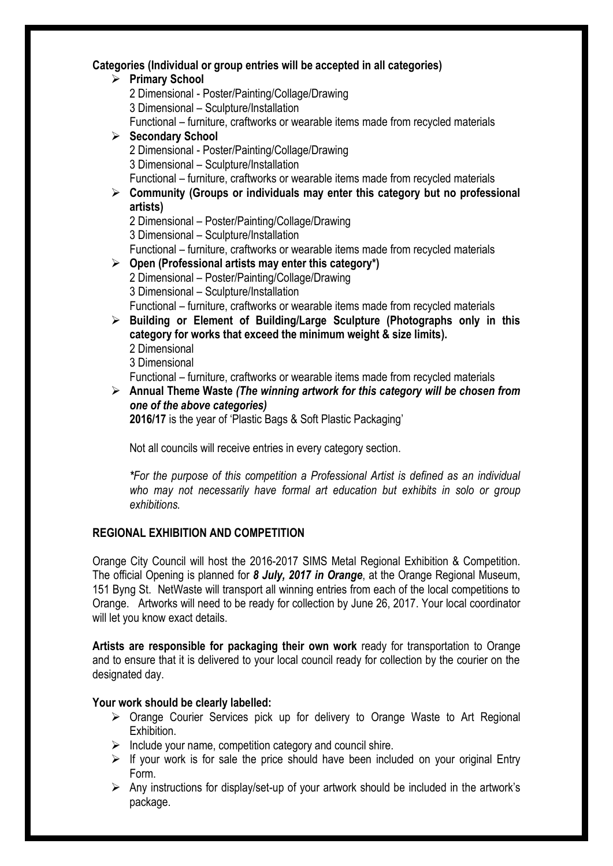#### **Categories (Individual or group entries will be accepted in all categories)**

- **Primary School** 2 Dimensional - Poster/Painting/Collage/Drawing 3 Dimensional – Sculpture/Installation Functional – furniture, craftworks or wearable items made from recycled materials **Secondary School** 2 Dimensional - Poster/Painting/Collage/Drawing 3 Dimensional – Sculpture/Installation Functional – furniture, craftworks or wearable items made from recycled materials **Community (Groups or individuals may enter this category but no professional artists)** 2 Dimensional – Poster/Painting/Collage/Drawing 3 Dimensional – Sculpture/Installation Functional – furniture, craftworks or wearable items made from recycled materials **Open (Professional artists may enter this category\*)** 2 Dimensional – Poster/Painting/Collage/Drawing 3 Dimensional – Sculpture/Installation Functional – furniture, craftworks or wearable items made from recycled materials **Building or Element of Building/Large Sculpture (Photographs only in this category for works that exceed the minimum weight & size limits).** 2 Dimensional 3 Dimensional Functional – furniture, craftworks or wearable items made from recycled materials **Annual Theme Waste** *(The winning artwork for this category will be chosen from* 
	- *one of the above categories)*

**2016/17** is the year of 'Plastic Bags & Soft Plastic Packaging'

Not all councils will receive entries in every category section.

*\*For the purpose of this competition a Professional Artist is defined as an individual*  who may not necessarily have formal art education but exhibits in solo or group *exhibitions.*

## **REGIONAL EXHIBITION AND COMPETITION**

Orange City Council will host the 2016-2017 SIMS Metal Regional Exhibition & Competition. The official Opening is planned for *8 July, 2017 in Orange*, at the Orange Regional Museum, 151 Byng St. NetWaste will transport all winning entries from each of the local competitions to Orange. Artworks will need to be ready for collection by June 26, 2017. Your local coordinator will let you know exact details.

**Artists are responsible for packaging their own work** ready for transportation to Orange and to ensure that it is delivered to your local council ready for collection by the courier on the designated day.

#### **Your work should be clearly labelled:**

- $\triangleright$  Orange Courier Services pick up for delivery to Orange Waste to Art Regional Exhibition.
- $\triangleright$  Include your name, competition category and council shire.
- $\triangleright$  If your work is for sale the price should have been included on your original Entry Form.
- $\triangleright$  Any instructions for display/set-up of your artwork should be included in the artwork's package.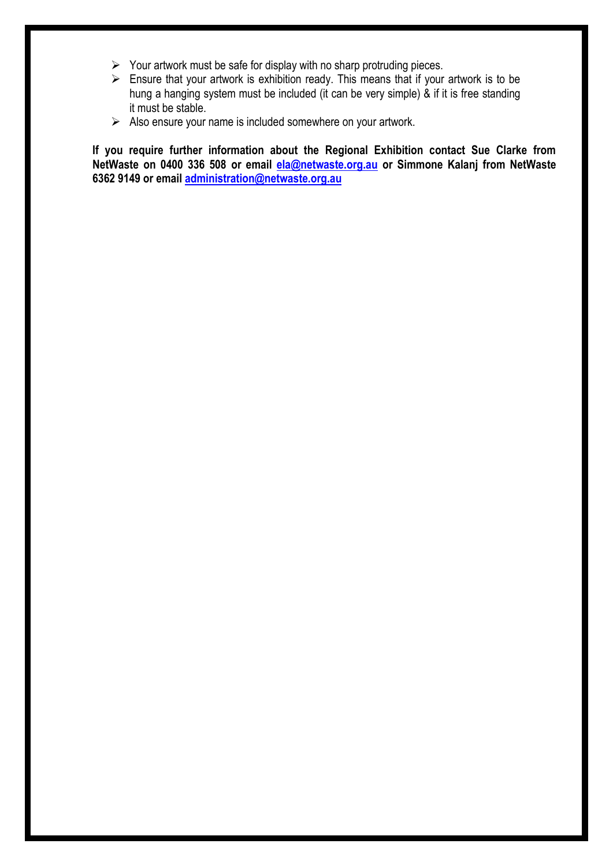- $\triangleright$  Your artwork must be safe for display with no sharp protruding pieces.
- $\triangleright$  Ensure that your artwork is exhibition ready. This means that if your artwork is to be hung a hanging system must be included (it can be very simple) & if it is free standing it must be stable.
- $\triangleright$  Also ensure your name is included somewhere on your artwork.

**If you require further information about the Regional Exhibition contact Sue Clarke from NetWaste on 0400 336 508 or email [ela@netwaste.org.au](mailto:ela@netwaste.org.au) or Simmone Kalanj from NetWaste 6362 9149 or email [administration@netwaste.org.au](mailto:administration@netwaste.org.au)**